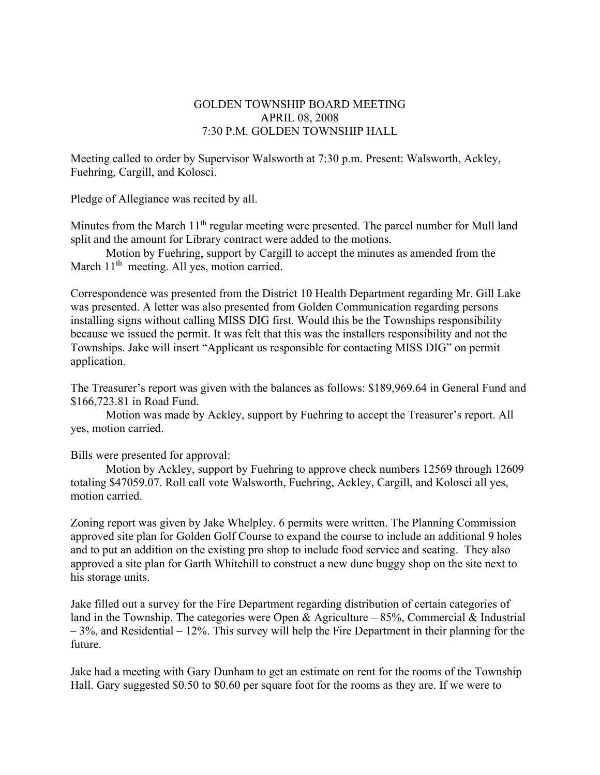## GOLDEN TOWNSHIP BOARD MEETING APRIL 08, 2008 7:30 P.M. GOLDEN TOWNSHIP HALL

Meeting called to order by Supervisor Walsworth at 7:30 p.m. Present: Walsworth, Ackley, Fuehring, Cargill, and Kolosci.

Pledge of Allegiance was recited by all.

Minutes from the March  $11<sup>th</sup>$  regular meeting were presented. The parcel number for Mull land split and the amount for Library contract were added to the motions.

Motion by Fuehring, support by Cargill to accept the minutes as amended from the March  $11<sup>th</sup>$  meeting. All yes, motion carried.

Correspondence was presented from the District 10 Health Department regarding Mr. Gill Lake was presented. A letter was also presented from Golden Communication regarding persons installing signs without calling MISS DIG first. Would this be the Townships responsibility because we issued the permit. It was felt that this was the installers responsibility and not the Townships. Jake will insert "Applicant us responsible for contacting MISS DIG" on permit application.

The Treasurer's report was given with the balances as follows: \$189,969.64 in General Fund and \$166,723.81 in Road Fund.

 Motion was made by Ackley, support by Fuehring to accept the Treasurer's report. All yes, motion carried.

Bills were presented for approval:

Motion by Ackley, support by Fuehring to approve check numbers 12569 through 12609 totaling \$47059.07. Roll call vote Walsworth, Fuehring, Ackley, Cargill, and Kolosci all yes, motion carried.

Zoning report was given by Jake Whelpley. 6 permits were written. The Planning Commission approved site plan for Golden Golf Course to expand the course to include an additional 9 holes and to put an addition on the existing pro shop to include food service and seating. They also approved a site plan for Garth Whitehill to construct a new dune buggy shop on the site next to his storage units.

Jake filled out a survey for the Fire Department regarding distribution of certain categories of land in the Township. The categories were Open & Agriculture –  $85\%$ , Commercial & Industrial  $-3\%$ , and Residential  $-12\%$ . This survey will help the Fire Department in their planning for the future.

Jake had a meeting with Gary Dunham to get an estimate on rent for the rooms of the Township Hall. Gary suggested \$0.50 to \$0.60 per square foot for the rooms as they are. If we were to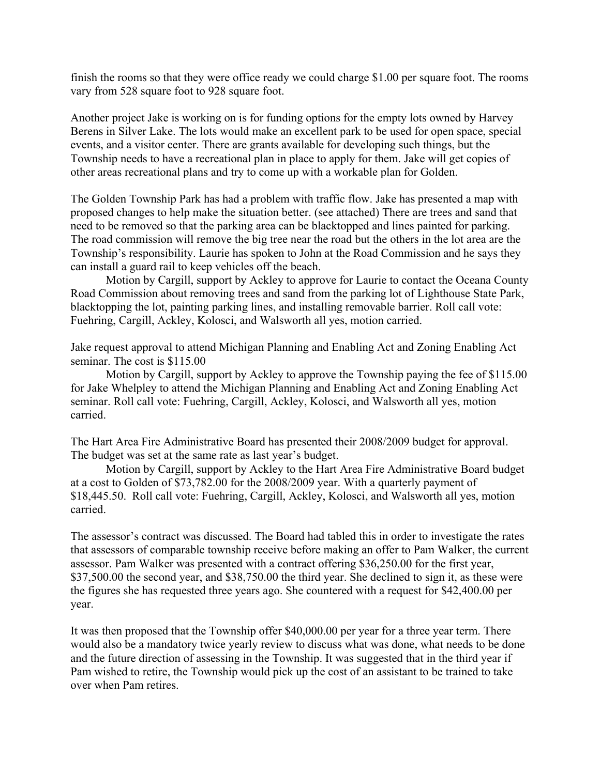finish the rooms so that they were office ready we could charge \$1.00 per square foot. The rooms vary from 528 square foot to 928 square foot.

Another project Jake is working on is for funding options for the empty lots owned by Harvey Berens in Silver Lake. The lots would make an excellent park to be used for open space, special events, and a visitor center. There are grants available for developing such things, but the Township needs to have a recreational plan in place to apply for them. Jake will get copies of other areas recreational plans and try to come up with a workable plan for Golden.

The Golden Township Park has had a problem with traffic flow. Jake has presented a map with proposed changes to help make the situation better. (see attached) There are trees and sand that need to be removed so that the parking area can be blacktopped and lines painted for parking. The road commission will remove the big tree near the road but the others in the lot area are the Township's responsibility. Laurie has spoken to John at the Road Commission and he says they can install a guard rail to keep vehicles off the beach.

 Motion by Cargill, support by Ackley to approve for Laurie to contact the Oceana County Road Commission about removing trees and sand from the parking lot of Lighthouse State Park, blacktopping the lot, painting parking lines, and installing removable barrier. Roll call vote: Fuehring, Cargill, Ackley, Kolosci, and Walsworth all yes, motion carried.

Jake request approval to attend Michigan Planning and Enabling Act and Zoning Enabling Act seminar. The cost is \$115.00

 Motion by Cargill, support by Ackley to approve the Township paying the fee of \$115.00 for Jake Whelpley to attend the Michigan Planning and Enabling Act and Zoning Enabling Act seminar. Roll call vote: Fuehring, Cargill, Ackley, Kolosci, and Walsworth all yes, motion carried.

The Hart Area Fire Administrative Board has presented their 2008/2009 budget for approval. The budget was set at the same rate as last year's budget.

 Motion by Cargill, support by Ackley to the Hart Area Fire Administrative Board budget at a cost to Golden of \$73,782.00 for the 2008/2009 year. With a quarterly payment of \$18,445.50. Roll call vote: Fuehring, Cargill, Ackley, Kolosci, and Walsworth all yes, motion carried.

The assessor's contract was discussed. The Board had tabled this in order to investigate the rates that assessors of comparable township receive before making an offer to Pam Walker, the current assessor. Pam Walker was presented with a contract offering \$36,250.00 for the first year, \$37,500.00 the second year, and \$38,750.00 the third year. She declined to sign it, as these were the figures she has requested three years ago. She countered with a request for \$42,400.00 per year.

It was then proposed that the Township offer \$40,000.00 per year for a three year term. There would also be a mandatory twice yearly review to discuss what was done, what needs to be done and the future direction of assessing in the Township. It was suggested that in the third year if Pam wished to retire, the Township would pick up the cost of an assistant to be trained to take over when Pam retires.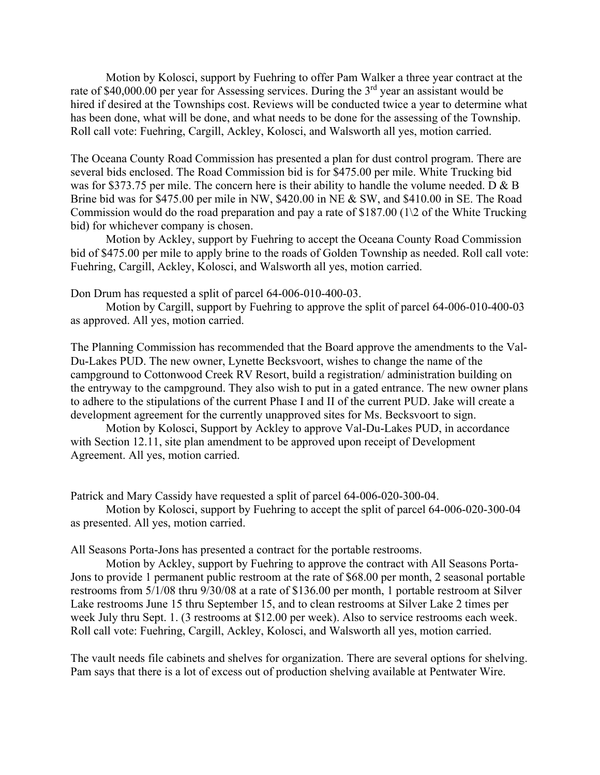Motion by Kolosci, support by Fuehring to offer Pam Walker a three year contract at the rate of \$40,000.00 per year for Assessing services. During the 3<sup>rd</sup> year an assistant would be hired if desired at the Townships cost. Reviews will be conducted twice a year to determine what has been done, what will be done, and what needs to be done for the assessing of the Township. Roll call vote: Fuehring, Cargill, Ackley, Kolosci, and Walsworth all yes, motion carried.

The Oceana County Road Commission has presented a plan for dust control program. There are several bids enclosed. The Road Commission bid is for \$475.00 per mile. White Trucking bid was for \$373.75 per mile. The concern here is their ability to handle the volume needed. D & B Brine bid was for \$475.00 per mile in NW, \$420.00 in NE & SW, and \$410.00 in SE. The Road Commission would do the road preparation and pay a rate of \$187.00 (1\2 of the White Trucking bid) for whichever company is chosen.

 Motion by Ackley, support by Fuehring to accept the Oceana County Road Commission bid of \$475.00 per mile to apply brine to the roads of Golden Township as needed. Roll call vote: Fuehring, Cargill, Ackley, Kolosci, and Walsworth all yes, motion carried.

Don Drum has requested a split of parcel 64-006-010-400-03.

 Motion by Cargill, support by Fuehring to approve the split of parcel 64-006-010-400-03 as approved. All yes, motion carried.

The Planning Commission has recommended that the Board approve the amendments to the Val-Du-Lakes PUD. The new owner, Lynette Becksvoort, wishes to change the name of the campground to Cottonwood Creek RV Resort, build a registration/ administration building on the entryway to the campground. They also wish to put in a gated entrance. The new owner plans to adhere to the stipulations of the current Phase I and II of the current PUD. Jake will create a development agreement for the currently unapproved sites for Ms. Becksvoort to sign.

 Motion by Kolosci, Support by Ackley to approve Val-Du-Lakes PUD, in accordance with Section 12.11, site plan amendment to be approved upon receipt of Development Agreement. All yes, motion carried.

Patrick and Mary Cassidy have requested a split of parcel 64-006-020-300-04.

 Motion by Kolosci, support by Fuehring to accept the split of parcel 64-006-020-300-04 as presented. All yes, motion carried.

All Seasons Porta-Jons has presented a contract for the portable restrooms.

 Motion by Ackley, support by Fuehring to approve the contract with All Seasons Porta-Jons to provide 1 permanent public restroom at the rate of \$68.00 per month, 2 seasonal portable restrooms from 5/1/08 thru 9/30/08 at a rate of \$136.00 per month, 1 portable restroom at Silver Lake restrooms June 15 thru September 15, and to clean restrooms at Silver Lake 2 times per week July thru Sept. 1. (3 restrooms at \$12.00 per week). Also to service restrooms each week. Roll call vote: Fuehring, Cargill, Ackley, Kolosci, and Walsworth all yes, motion carried.

The vault needs file cabinets and shelves for organization. There are several options for shelving. Pam says that there is a lot of excess out of production shelving available at Pentwater Wire.